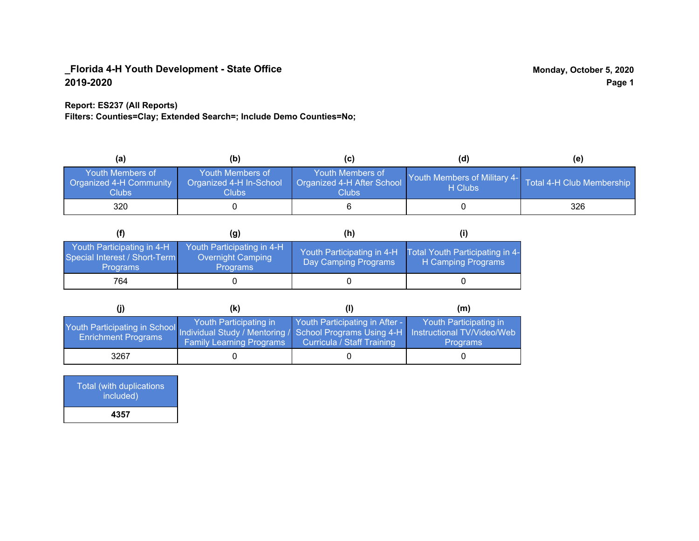### **Report: ES237 (All Reports)**

**Filters: Counties=Clay; Extended Search=; Include Demo Counties=No;**

| (a                                                   | (b)                                                  | (C)                                                            | (d)                                                               | (e) |
|------------------------------------------------------|------------------------------------------------------|----------------------------------------------------------------|-------------------------------------------------------------------|-----|
| Youth Members of<br>Organized 4-H Community<br>Clubs | Youth Members of<br>Organized 4-H In-School<br>Clubs | Youth Members of<br>Organized 4-H After School<br><b>Clubs</b> | Youth Members of Military 4- Total 4-H Club Membership<br>H Clubs |     |
| 320                                                  |                                                      |                                                                |                                                                   | 326 |

|                                                                                | (g)                                                                       | (h)                                                 |                                                       |
|--------------------------------------------------------------------------------|---------------------------------------------------------------------------|-----------------------------------------------------|-------------------------------------------------------|
| Youth Participating in 4-H<br>Special Interest / Short-Term<br><b>Programs</b> | Youth Participating in 4-H<br><b>Overnight Camping</b><br><b>Programs</b> | Youth Participating in 4-H.<br>Day Camping Programs | Total Youth Participating in 4-<br>H Camping Programs |
| 764                                                                            |                                                                           |                                                     |                                                       |

|                                                                                                                                                 | (K)                                                       |                                                                     | (m)                                       |
|-------------------------------------------------------------------------------------------------------------------------------------------------|-----------------------------------------------------------|---------------------------------------------------------------------|-------------------------------------------|
| Youth Participating in School Individual Study / Mentoring / School Programs Using 4-H Instructional TV/Video/Web<br><b>Enrichment Programs</b> | Youth Participating in<br><b>Family Learning Programs</b> | Youth Participating in After -<br><b>Curricula / Staff Training</b> | Youth Participating in<br><b>Programs</b> |
| 3267                                                                                                                                            |                                                           |                                                                     |                                           |

| Total (with duplications<br>included) |
|---------------------------------------|
| 4357                                  |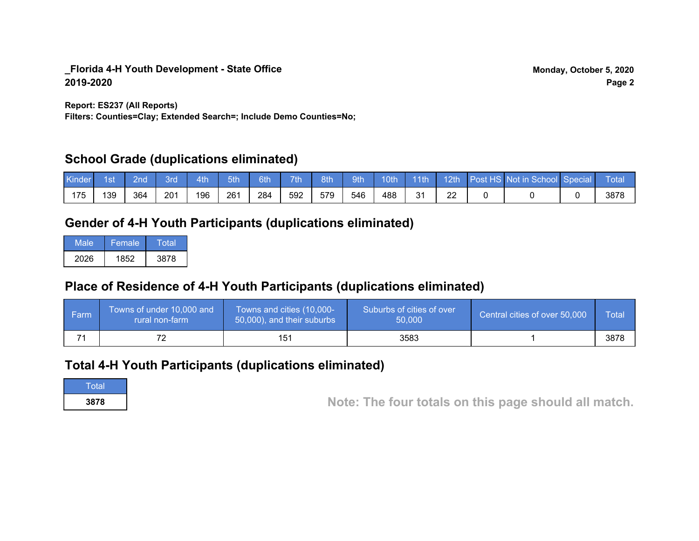**Report: ES237 (All Reports)**

**Filters: Counties=Clay; Extended Search=; Include Demo Counties=No;**

## **School Grade (duplications eliminated)**

| Kinder | 1st | 2nd | Brd | 4th | 5th | 6th | 7th | 8th | 9th <sup>1</sup> | 10th | $-11$ th | $-12th$ | Post HS Not in School Special | Total |
|--------|-----|-----|-----|-----|-----|-----|-----|-----|------------------|------|----------|---------|-------------------------------|-------|
| 175    | 139 | 364 | 201 | 196 | 261 | 284 | 592 | 579 | 546              | 488  | 21<br>ັ  | ▵       |                               | 3878  |

# **Gender of 4-H Youth Participants (duplications eliminated)**

| Male | Female | Total |
|------|--------|-------|
| 2026 | 1852   | 3878  |

# **Place of Residence of 4-H Youth Participants (duplications eliminated)**

| Farm | Towns of under 10,000 and<br>rural non-farm | Towns and cities (10,000-<br>50,000), and their suburbs | Suburbs of cities of over<br>50,000 | Central cities of over 50,000 | Total |
|------|---------------------------------------------|---------------------------------------------------------|-------------------------------------|-------------------------------|-------|
|      |                                             | 151                                                     | 3583                                |                               | 3878  |

# **Total 4-H Youth Participants (duplications eliminated)**

**Total** 

**3878 Note: The four totals on this page should all match.**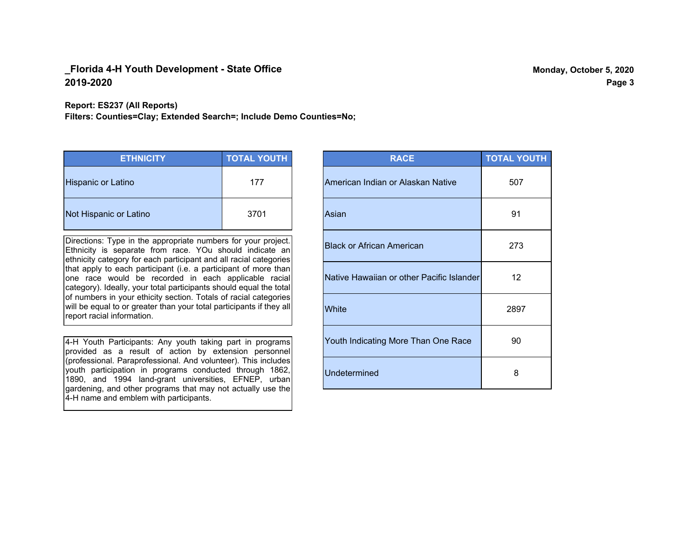**Report: ES237 (All Reports)**

**Filters: Counties=Clay; Extended Search=; Include Demo Counties=No;**

| <b>ETHNICITY</b>          | <b>TOTAL YOUTH</b> |
|---------------------------|--------------------|
| <b>Hispanic or Latino</b> | 177                |
| Not Hispanic or Latino    | 3701               |

Directions: Type in the appropriate numbers for your project. Ethnicity is separate from race. YOu should indicate an ethnicity category for each participant and all racial categories that apply to each participant (i.e. a participant of more than one race would be recorded in each applicable racial category). Ideally, your total participants should equal the total of numbers in your ethicity section. Totals of racial categories will be equal to or greater than your total participants if they all report racial information.

4-H Youth Participants: Any youth taking part in programs provided as a result of action by extension personnel (professional. Paraprofessional. And volunteer). This includes youth participation in programs conducted through 1862, 1890, and 1994 land-grant universities, EFNEP, urban gardening, and other programs that may not actually use the 4-H name and emblem with participants.

| <b>RACE</b>                               | <b>TOTAL YOUTH</b> |
|-------------------------------------------|--------------------|
| American Indian or Alaskan Native         | 507                |
| Asian                                     | 91                 |
| <b>Black or African American</b>          | 273                |
| Native Hawaiian or other Pacific Islander | 12                 |
| White                                     | 2897               |
| Youth Indicating More Than One Race       | 90                 |
| <b>Undetermined</b>                       | 8                  |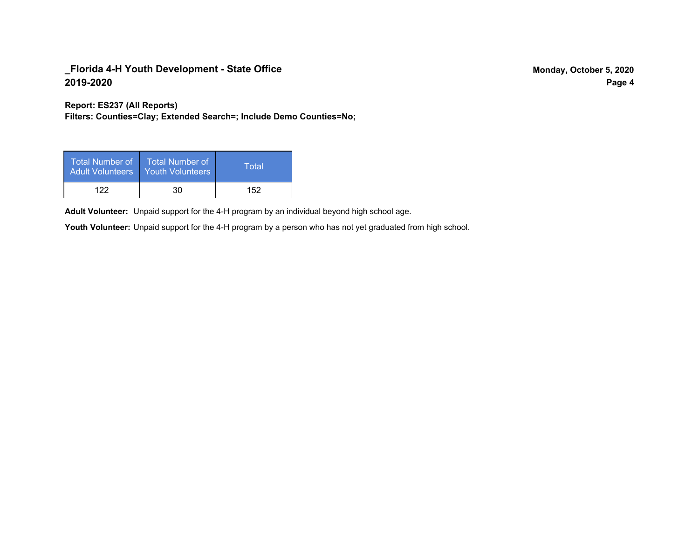**Report: ES237 (All Reports)**

**Filters: Counties=Clay; Extended Search=; Include Demo Counties=No;**

| Total Number of<br><b>Adult Volunteers</b> | <b>Total Number of</b><br><b>Youth Volunteers</b> | Total |
|--------------------------------------------|---------------------------------------------------|-------|
| 122                                        | 30                                                | 152   |

Adult Volunteer: Unpaid support for the 4-H program by an individual beyond high school age.

Youth Volunteer: Unpaid support for the 4-H program by a person who has not yet graduated from high school.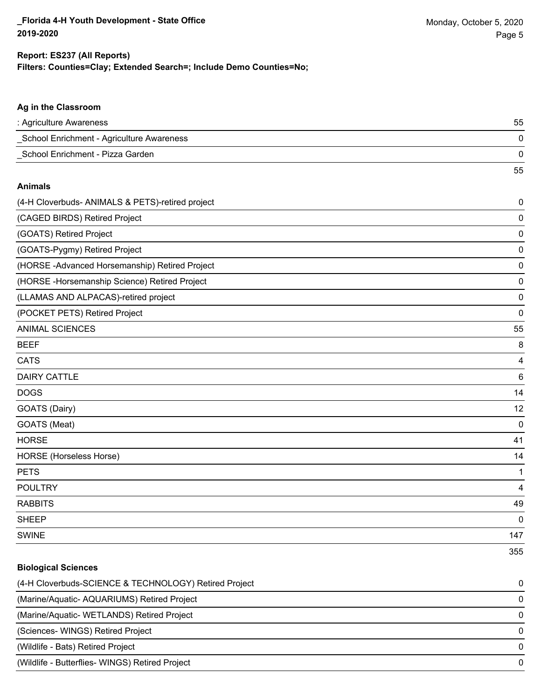55

#### **Ag in the Classroom**

| : Agriculture Awareness                   | 55 |
|-------------------------------------------|----|
| School Enrichment - Agriculture Awareness |    |
| School Enrichment - Pizza Garden          |    |

#### **Animals**

| (4-H Cloverbuds- ANIMALS & PETS)-retired project | $\pmb{0}$       |
|--------------------------------------------------|-----------------|
| (CAGED BIRDS) Retired Project                    | 0               |
| (GOATS) Retired Project                          | 0               |
| (GOATS-Pygmy) Retired Project                    | 0               |
| (HORSE-Advanced Horsemanship) Retired Project    | 0               |
| (HORSE - Horsemanship Science) Retired Project   | 0               |
| (LLAMAS AND ALPACAS)-retired project             | 0               |
| (POCKET PETS) Retired Project                    | $\mathbf 0$     |
| <b>ANIMAL SCIENCES</b>                           | 55              |
| <b>BEEF</b>                                      | 8               |
| <b>CATS</b>                                      | 4               |
| <b>DAIRY CATTLE</b>                              | $6\phantom{1}6$ |
| <b>DOGS</b>                                      | 14              |
| GOATS (Dairy)                                    | 12              |
| GOATS (Meat)                                     | $\mathbf 0$     |
| <b>HORSE</b>                                     | 41              |
| HORSE (Horseless Horse)                          | 14              |
| <b>PETS</b>                                      | 1               |
| <b>POULTRY</b>                                   | 4               |
| <b>RABBITS</b>                                   | 49              |
| <b>SHEEP</b>                                     | 0               |
| <b>SWINE</b>                                     | 147             |
|                                                  | 355             |

### **Biological Sciences**

| (4-H Cloverbuds-SCIENCE & TECHNOLOGY) Retired Project | $\Omega$ |
|-------------------------------------------------------|----------|
| (Marine/Aquatic-AQUARIUMS) Retired Project            | $\Omega$ |
| (Marine/Aquatic-WETLANDS) Retired Project             | $\Omega$ |
| (Sciences-WINGS) Retired Project                      | $\Omega$ |
| (Wildlife - Bats) Retired Project                     | $\Omega$ |
| (Wildlife - Butterflies- WINGS) Retired Project       | $\Omega$ |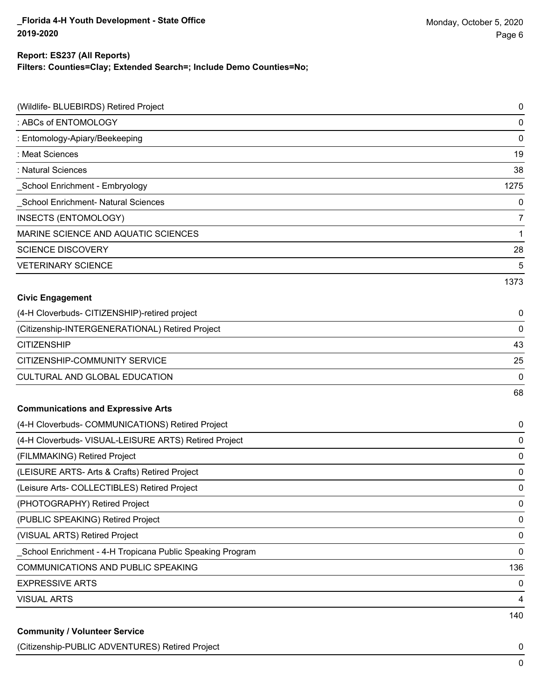#### **Report: ES237 (All Reports)**

**Filters: Counties=Clay; Extended Search=; Include Demo Counties=No;**

| (Wildlife- BLUEBIRDS) Retired Project                     | $\pmb{0}$      |
|-----------------------------------------------------------|----------------|
| : ABCs of ENTOMOLOGY                                      | $\mathbf 0$    |
| : Entomology-Apiary/Beekeeping                            | $\mathbf 0$    |
| : Meat Sciences                                           | 19             |
| : Natural Sciences                                        | 38             |
| School Enrichment - Embryology                            | 1275           |
| School Enrichment- Natural Sciences                       | $\mathbf 0$    |
| INSECTS (ENTOMOLOGY)                                      | $\overline{7}$ |
| MARINE SCIENCE AND AQUATIC SCIENCES                       | $\mathbf 1$    |
| <b>SCIENCE DISCOVERY</b>                                  | 28             |
| <b>VETERINARY SCIENCE</b>                                 | 5              |
|                                                           | 1373           |
| <b>Civic Engagement</b>                                   |                |
| (4-H Cloverbuds- CITIZENSHIP)-retired project             | 0              |
| (Citizenship-INTERGENERATIONAL) Retired Project           | $\mathbf 0$    |
| <b>CITIZENSHIP</b>                                        | 43             |
| CITIZENSHIP-COMMUNITY SERVICE                             | 25             |
| CULTURAL AND GLOBAL EDUCATION                             | 0              |
|                                                           | 68             |
| <b>Communications and Expressive Arts</b>                 |                |
| (4-H Cloverbuds- COMMUNICATIONS) Retired Project          | 0              |
| (4-H Cloverbuds- VISUAL-LEISURE ARTS) Retired Project     | $\mathbf 0$    |
| (FILMMAKING) Retired Project                              | $\mathbf 0$    |
| (LEISURE ARTS- Arts & Crafts) Retired Project             | $\mathbf 0$    |
| (Leisure Arts- COLLECTIBLES) Retired Project              | $\mathbf 0$    |
| (PHOTOGRAPHY) Retired Project                             | 0              |
| (PUBLIC SPEAKING) Retired Project                         | $\pmb{0}$      |
| (VISUAL ARTS) Retired Project                             | $\pmb{0}$      |
| School Enrichment - 4-H Tropicana Public Speaking Program | $\mathbf 0$    |
| COMMUNICATIONS AND PUBLIC SPEAKING                        | 136            |
| <b>EXPRESSIVE ARTS</b>                                    | 0              |
| <b>VISUAL ARTS</b>                                        | 4              |
|                                                           | 140            |
| <b>Community / Volunteer Service</b>                      |                |

(Citizenship-PUBLIC ADVENTURES) Retired Project 0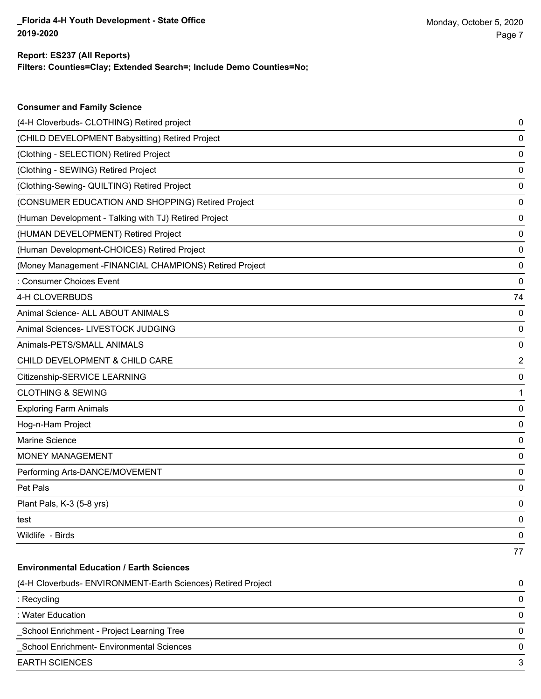| <b>Consumer and Family Science</b>                           |                |
|--------------------------------------------------------------|----------------|
| (4-H Cloverbuds- CLOTHING) Retired project                   | 0              |
| (CHILD DEVELOPMENT Babysitting) Retired Project              | 0              |
| (Clothing - SELECTION) Retired Project                       | 0              |
| (Clothing - SEWING) Retired Project                          | 0              |
| (Clothing-Sewing- QUILTING) Retired Project                  | 0              |
| (CONSUMER EDUCATION AND SHOPPING) Retired Project            | 0              |
| (Human Development - Talking with TJ) Retired Project        | 0              |
| (HUMAN DEVELOPMENT) Retired Project                          | 0              |
| (Human Development-CHOICES) Retired Project                  | 0              |
| (Money Management - FINANCIAL CHAMPIONS) Retired Project     | 0              |
| : Consumer Choices Event                                     | 0              |
| 4-H CLOVERBUDS                                               | 74             |
| Animal Science- ALL ABOUT ANIMALS                            | 0              |
| Animal Sciences- LIVESTOCK JUDGING                           | 0              |
| Animals-PETS/SMALL ANIMALS                                   | 0              |
| CHILD DEVELOPMENT & CHILD CARE                               | $\overline{2}$ |
| Citizenship-SERVICE LEARNING                                 | 0              |
| <b>CLOTHING &amp; SEWING</b>                                 | 1              |
| <b>Exploring Farm Animals</b>                                | 0              |
| Hog-n-Ham Project                                            | 0              |
| Marine Science                                               | 0              |
| MONEY MANAGEMENT                                             | 0              |
| Performing Arts-DANCE/MOVEMENT                               | 0              |
| Pet Pals                                                     | 0              |
| Plant Pals, K-3 (5-8 yrs)                                    | 0              |
| test                                                         | 0              |
| Wildlife - Birds                                             | 0              |
|                                                              | 77             |
| <b>Environmental Education / Earth Sciences</b>              |                |
| (4-H Cloverbuds- ENVIRONMENT-Earth Sciences) Retired Project | 0              |
| : Recycling                                                  | 0              |

: Water Education 0

\_School Enrichment - Project Learning Tree 0

\_School Enrichment- Environmental Sciences 0

EARTH SCIENCES 3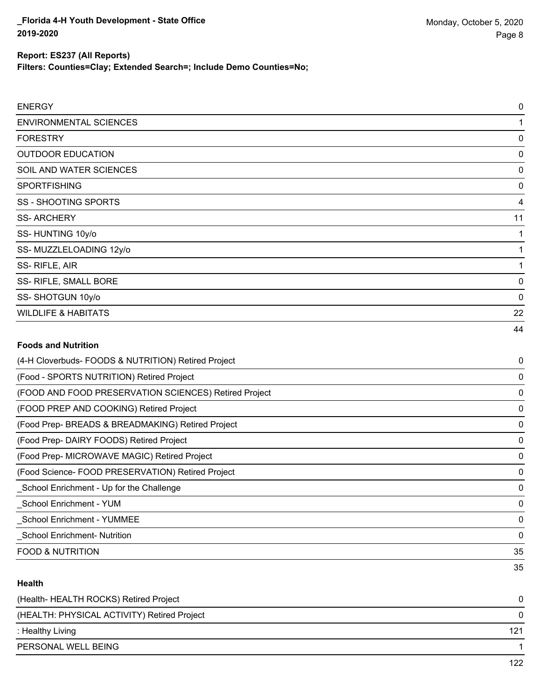**Filters: Counties=Clay; Extended Search=; Include Demo Counties=No;**

| <b>ENERGY</b>                                         | $\mathbf 0$    |
|-------------------------------------------------------|----------------|
| <b>ENVIRONMENTAL SCIENCES</b>                         | 1              |
| <b>FORESTRY</b>                                       | $\mathbf 0$    |
| <b>OUTDOOR EDUCATION</b>                              | 0              |
| SOIL AND WATER SCIENCES                               | $\mathbf 0$    |
| <b>SPORTFISHING</b>                                   | 0              |
| <b>SS - SHOOTING SPORTS</b>                           | $\overline{4}$ |
| <b>SS-ARCHERY</b>                                     | 11             |
| SS-HUNTING 10y/o                                      | 1              |
| SS-MUZZLELOADING 12y/o                                | 1              |
| SS-RIFLE, AIR                                         | 1              |
| SS- RIFLE, SMALL BORE                                 | $\mathbf 0$    |
| SS-SHOTGUN 10y/o                                      | $\Omega$       |
| <b>WILDLIFE &amp; HABITATS</b>                        | 22             |
|                                                       | 44             |
| <b>Foods and Nutrition</b>                            |                |
| (4-H Cloverbuds- FOODS & NUTRITION) Retired Project   | 0              |
| (Food - SPORTS NUTRITION) Retired Project             | 0              |
| (FOOD AND FOOD PRESERVATION SCIENCES) Retired Project | 0              |
| (FOOD PREP AND COOKING) Retired Project               | 0              |
| (Food Prep- BREADS & BREADMAKING) Retired Project     | $\mathbf 0$    |
| (Food Prep- DAIRY FOODS) Retired Project              | 0              |
| (Food Prep- MICROWAVE MAGIC) Retired Project          | $\mathbf 0$    |
| (Food Science- FOOD PRESERVATION) Retired Project     | $\mathbf 0$    |
| School Enrichment - Up for the Challenge              | 0              |

\_School Enrichment - YUM 0 \_School Enrichment - YUMMEE 0

\_School Enrichment- Nutrition 0

FOOD & NUTRITION 35

## **Health**

| 121 |
|-----|
|     |
|     |

35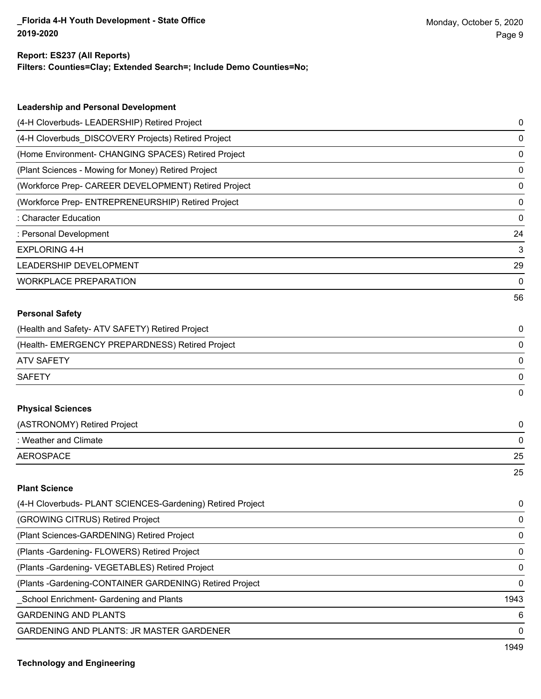#### **Report: ES237 (All Reports)**

**Filters: Counties=Clay; Extended Search=; Include Demo Counties=No;**

| <b>Leadership and Personal Development</b>                 |      |
|------------------------------------------------------------|------|
| (4-H Cloverbuds- LEADERSHIP) Retired Project               | 0    |
| (4-H Cloverbuds_DISCOVERY Projects) Retired Project        | 0    |
| (Home Environment- CHANGING SPACES) Retired Project        | 0    |
| (Plant Sciences - Mowing for Money) Retired Project        | 0    |
| (Workforce Prep- CAREER DEVELOPMENT) Retired Project       | 0    |
| (Workforce Prep- ENTREPRENEURSHIP) Retired Project         | 0    |
| : Character Education                                      | 0    |
| : Personal Development                                     | 24   |
| <b>EXPLORING 4-H</b>                                       | 3    |
| LEADERSHIP DEVELOPMENT                                     | 29   |
| <b>WORKPLACE PREPARATION</b>                               | 0    |
|                                                            | 56   |
| <b>Personal Safety</b>                                     |      |
| (Health and Safety- ATV SAFETY) Retired Project            | 0    |
| (Health- EMERGENCY PREPARDNESS) Retired Project            | 0    |
| <b>ATV SAFETY</b>                                          | 0    |
| <b>SAFETY</b>                                              | 0    |
|                                                            | 0    |
| <b>Physical Sciences</b>                                   |      |
| (ASTRONOMY) Retired Project                                | 0    |
| : Weather and Climate                                      | 0    |
| <b>AEROSPACE</b>                                           | 25   |
|                                                            | 25   |
| <b>Plant Science</b>                                       |      |
| (4-H Cloverbuds- PLANT SCIENCES-Gardening) Retired Project | 0    |
| (GROWING CITRUS) Retired Project                           | 0    |
| (Plant Sciences-GARDENING) Retired Project                 | 0    |
| (Plants - Gardening - FLOWERS) Retired Project             | 0    |
| (Plants - Gardening - VEGETABLES) Retired Project          | 0    |
| (Plants - Gardening-CONTAINER GARDENING) Retired Project   | 0    |
| School Enrichment- Gardening and Plants                    | 1943 |
| <b>GARDENING AND PLANTS</b>                                | 6    |

GARDENING AND PLANTS: JR MASTER GARDENER 0